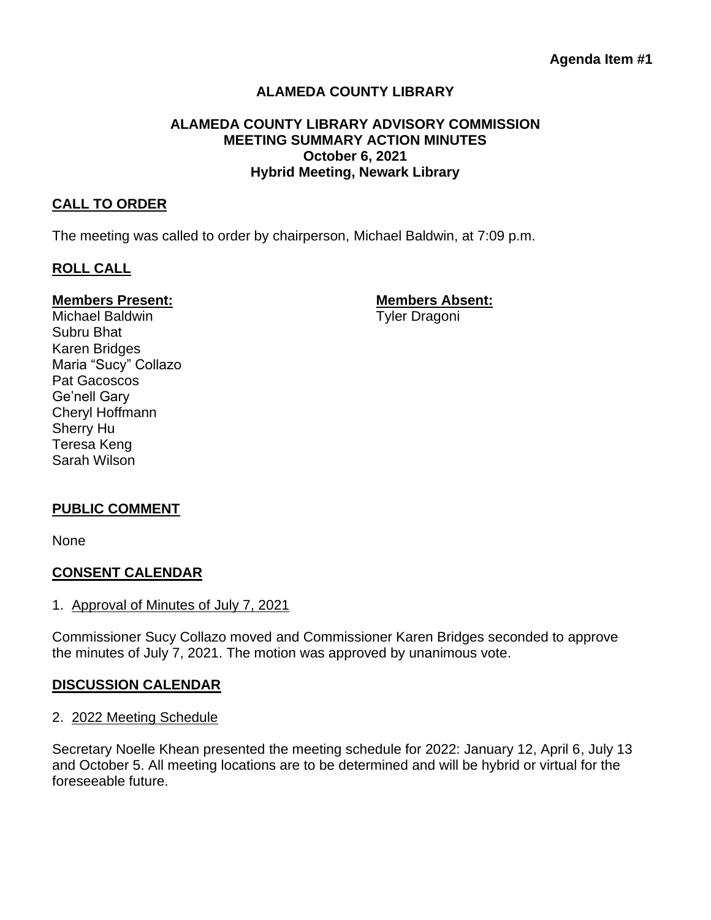# **ALAMEDA COUNTY LIBRARY**

### **ALAMEDA COUNTY LIBRARY ADVISORY COMMISSION MEETING SUMMARY ACTION MINUTES October 6, 2021 Hybrid Meeting, Newark Library**

### **CALL TO ORDER**

The meeting was called to order by chairperson, Michael Baldwin, at 7:09 p.m.

## **ROLL CALL**

## **Members Present: Members Absent:**

Michael Baldwin **Tyler Dragoni** Subru Bhat Karen Bridges Maria "Sucy" Collazo Pat Gacoscos Ge'nell Gary Cheryl Hoffmann Sherry Hu Teresa Keng Sarah Wilson

## **PUBLIC COMMENT**

None

## **CONSENT CALENDAR**

1. Approval of Minutes of July 7, 2021

Commissioner Sucy Collazo moved and Commissioner Karen Bridges seconded to approve the minutes of July 7, 2021. The motion was approved by unanimous vote.

#### **DISCUSSION CALENDAR**

#### 2. 2022 Meeting Schedule

Secretary Noelle Khean presented the meeting schedule for 2022: January 12, April 6, July 13 and October 5. All meeting locations are to be determined and will be hybrid or virtual for the foreseeable future.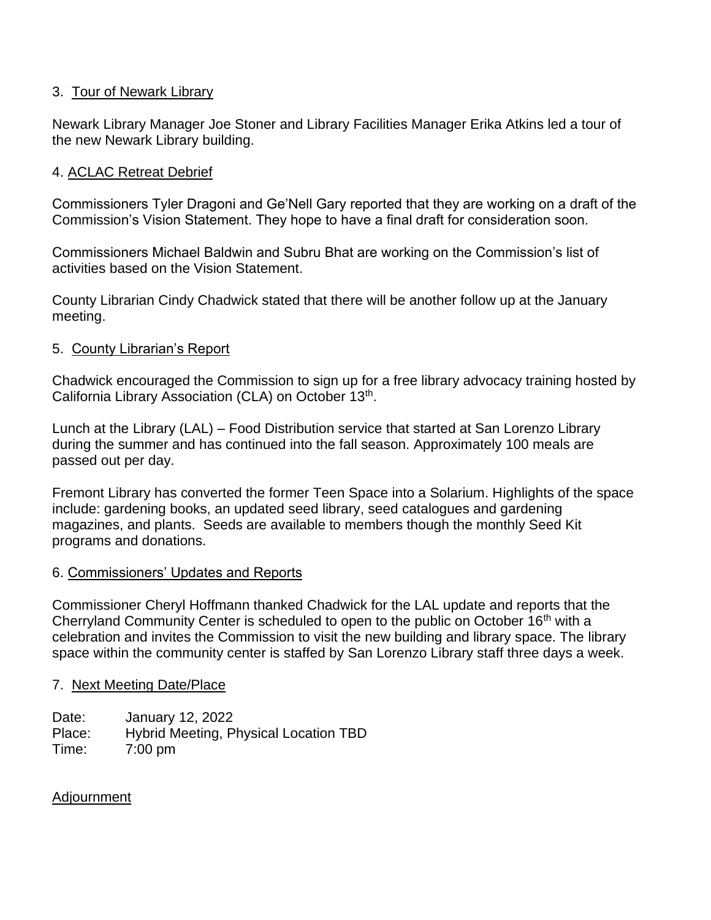## 3. Tour of Newark Library

Newark Library Manager Joe Stoner and Library Facilities Manager Erika Atkins led a tour of the new Newark Library building.

# 4. ACLAC Retreat Debrief

Commissioners Tyler Dragoni and Ge'Nell Gary reported that they are working on a draft of the Commission's Vision Statement. They hope to have a final draft for consideration soon.

Commissioners Michael Baldwin and Subru Bhat are working on the Commission's list of activities based on the Vision Statement.

County Librarian Cindy Chadwick stated that there will be another follow up at the January meeting.

## 5. County Librarian's Report

Chadwick encouraged the Commission to sign up for a free library advocacy training hosted by California Library Association (CLA) on October 13<sup>th</sup>.

Lunch at the Library (LAL) – Food Distribution service that started at San Lorenzo Library during the summer and has continued into the fall season. Approximately 100 meals are passed out per day.

Fremont Library has converted the former Teen Space into a Solarium. Highlights of the space include: gardening books, an updated seed library, seed catalogues and gardening magazines, and plants. Seeds are available to members though the monthly Seed Kit programs and donations.

## 6. Commissioners' Updates and Reports

Commissioner Cheryl Hoffmann thanked Chadwick for the LAL update and reports that the Cherryland Community Center is scheduled to open to the public on October 16<sup>th</sup> with a celebration and invites the Commission to visit the new building and library space. The library space within the community center is staffed by San Lorenzo Library staff three days a week.

## 7. Next Meeting Date/Place

Date: January 12, 2022 Place: Hybrid Meeting, Physical Location TBD Time: 7:00 pm

## Adjournment